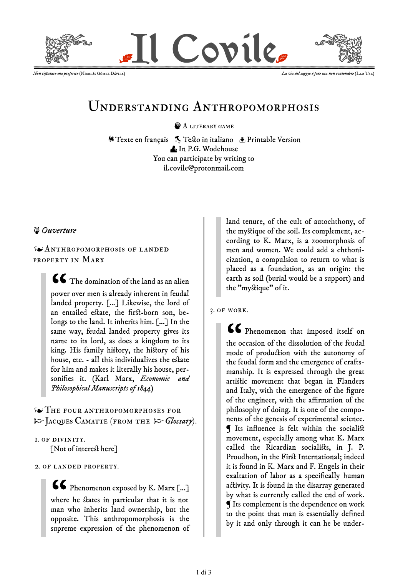

*Non ri*



# Understanding Anthropomorphosis

**A LITERARY GAME** 

**Similaris Test[o in italiano](file:///C:/_AP_SB/il_covile/V3_antropomorfosi.html)** Department Version [In P.G. Wodehouse](file:///C:/_AP_SB/il_covile/V3_antropomorfosi_PGW_inglese.html) You can participate by writing to [il.covile@protonmail.com](mailto:il.covile@protonmail.com)

## *[Ouverture](file:///C:/_AP_SB/il_covile/V3_antropomorfosi_sw_inglese.html)*

Anthropomorphosis of landed property in Marx

> $\textsf{G}\textsf{F}$  The domination of the land as an alien power over men is already inherent in feudal landed property. [...] Likewise, the lord of an entailed estate, the first-born son, belongs to the land. It inherits him. [...] In the same way, feudal landed property gives its name to its lord, as does a kingdom to its king. His family history, the history of his house, etc. - all this individualizes the estate for him and makes it literally his house, personifies it. (Karl Marx, *Economic and Philosophical Manuscripts of 1844*)

The four anthropomorphoses for [☞](file:///C:/_AP_SB/il_covile/V3_p_camatte_presentazione_en.html)[Jacques Camatte](file:///C:/_AP_SB/il_covile/V3_p_camatte_presentazione_en.html) (from the [☞](https://revueinvariance.pagesperso-orange.fr/glossaire.html)*[Glossary](https://revueinvariance.pagesperso-orange.fr/glossaire.html)*).

## 1. of divinity.

[Not of interest here]

#### 2. of landed property.

66 Phenomenon exposed by K. Marx [...] where he states in particular that it is not man who inherits land ownership, but the opposite. This anthropomorphosis is the supreme expression of the phenomenon of land tenure, of the cult of autochthony, of the mystique of the soil. Its complement, according to K. Marx, is a zoomorphosis of men and women. We could add a chthonicization, a compulsion to return to what is placed as a foundation, as an origin: the earth as soil (burial would be a support) and the "mystique" of it.

3. of work.

66 Phenomenon that imposed itself on the occasion of the dissolution of the feudal mode of production with the autonomy of the feudal form and the emergence of craftsmanship. It is expressed through the great artistic movement that began in Flanders and Italy, with the emergence of the figure of the engineer, with the affirmation of the philosophy of doing. It is one of the components of the genesis of experimental science. ¶ Its influence is felt within the socialist movement, especially among what K. Marx called the Ricardian socialists, in J. P. Proudhon, in the First International; indeed it is found in K. Marx and F. Engels in their exaltation of labor as a specifically human activity. It is found in the disarray generated by what is currently called the end of work. ¶ Its complement is the dependence on work to the point that man is essentially defined by it and only through it can he be under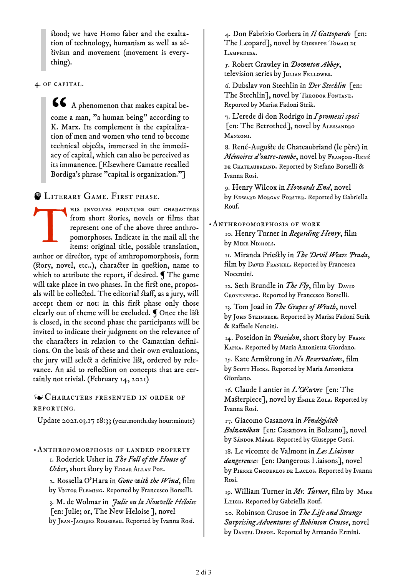stood; we have Homo faber and the exaltation of technology, humanism as well as  $a\xi$ ivism and movement (movement is everything).

4. of capital.

66 A phenomenon that makes capital become a man, "a human being" according to K. Marx. Its complement is the capitalization of men and women who tend to become technical objects, immersed in the immediacy of capital, which can also be perceived as its immanence. [Elsewhere Camatte recalled Bordiga's phrase "capital is organization."]

**ELITERARY GAME. FIRST PHASE.** 

T his involves pointing out characters from short stories, novels or films that represent one of the above three anthropomorphoses. Indicate in the mail all the items: original title, possible translation, author or director, type of anthropomorphosis, form (story, novel, etc..), character in question, name to which to attribute the report, if desired.  $\P$  The game will take place in two phases. In the first one, proposals will be collected. The editorial staff, as a jury, will accept them or not: in this first phase only those clearly out of theme will be excluded. ¶ Once the list is closed, in the second phase the participants will be invited to indicate their judgment on the relevance of the characters in relation to the Camattian definitions. On the basis of these and their own evaluations, the jury will select a definitive list, ordered by relevance. An aid to reflection on concepts that are certainly not trivial. (February 14, 2021)

Characters presented in order of reporting.

Update 2021.03.17 18:33 (year.month.day hour:minute)

•Anthropomorphosis of landed property 1. Roderick Usher in *The Fall of the House of* Usher, short story by EDGAR ALLAN POE. 2. Rossella O'Hara in *Gone with the Wind*, film by VICTOR FLEMING. Reported by Francesco Borselli. 3. M. de Wolmar in *Julie ou la Nouvelle Héloïse* [en: Julie; or, The New Heloise ], novel by Jean-Jacques Rousseau. Reported by Ivanna Rosi.

4. Don Fabrizio Corbera in *Il Gattopardo* [en: The Leopard], novel by Giuseppe Tomasi di Lampedusa.

5. Robert Crawley in *Downton Abbey*, television series by JULIAN FELLOWES.

6. Dubslav von Stechlin in *Der Stechlin* [en: The Stechlin], novel by THEODOR FONTANE. Reported by Marisa Fadoni Strik.

7. L'erede di don Rodrigo in *I promessi sposi* [en: The Betrothed], novel by ALESSANDRO Manzoni.

8. René-Auguste de Chateaubriand (le père) in *Mémoires d'outre-tombe*, novel by François-René DE CHATEAUBRIAND. Reported by Stefano Borselli & Ivanna Rosi.

9. Henry Wilcox in *Howards End*, novel by EDWARD MORGAN FORSTER. Reported by Gabriella Rouf.

•Anthropomorphosis of work

10. Henry Turner in *Regarding Henry*, film by MIKE NICHOLS.

11. Miranda Priestly in *The Devil Wears Prada*, film by DAVID FRANKEL. Reported by Francesca Nocentini.

12. Seth Brundle in *The Fly*, film by DAVID Cronenberg. Reported by Francesco Borselli.

13. Tom Joad in *The Grapes of Wrath*, novel by JOHN STEINBECK. Reported by Marisa Fadoni Strik & Raffaele Nencini.

14. Poseidon in *Poseidon*, short story by Franz KAFKA. Reported by Maria Antonietta Giordano.

15. Kate Armstrong in *No Reservations*, film by Scorr HIcks. Reported by Maria Antonietta Giordano.

16. Claude Lantier in *L'Œuvre* [en: The Masterpiece], novel by EMILE ZOLA. Reported by Ivanna Rosi.

17. Giacomo Casanova in *Vendégjáték Bolzanóban* [en: Casanova in Bolzano], novel by Sándor Márai. Reported by Giuseppe Corsi.

18. Le vicomte de Valmont in *Les Liaisons dangereuses* [en: Dangerous Liaisons], novel by PIERRE CHODERLOS DE LACLOS. Reported by Ivanna Rosi.

19. William Turner in *Mr. Turner*, film by Mike Leigh. Reported by Gabriella Rouf.

20. Robinson Crusoe in *The Life and Strange Surprising Adventures of Robinson Crusoe*, novel by Daniel Defoe. Reported by Armando Ermini.